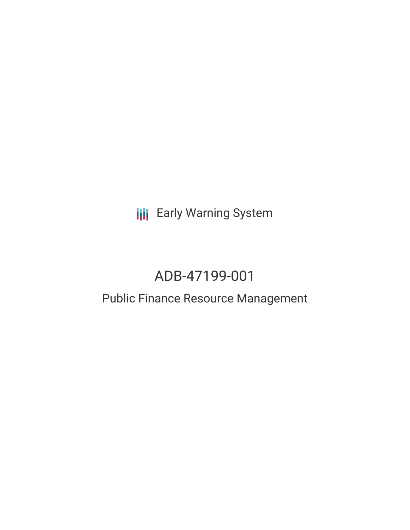**III** Early Warning System

# ADB-47199-001

## Public Finance Resource Management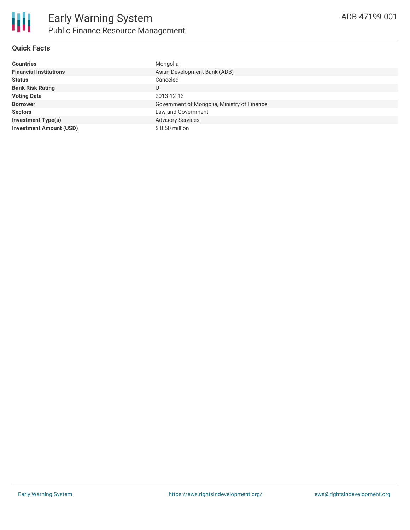

#### **Quick Facts**

| <b>Countries</b>               | Mongolia                                    |
|--------------------------------|---------------------------------------------|
| <b>Financial Institutions</b>  | Asian Development Bank (ADB)                |
| <b>Status</b>                  | Canceled                                    |
| <b>Bank Risk Rating</b>        | U                                           |
| <b>Voting Date</b>             | 2013-12-13                                  |
| <b>Borrower</b>                | Government of Mongolia, Ministry of Finance |
| <b>Sectors</b>                 | Law and Government                          |
| <b>Investment Type(s)</b>      | <b>Advisory Services</b>                    |
| <b>Investment Amount (USD)</b> | $$0.50$ million                             |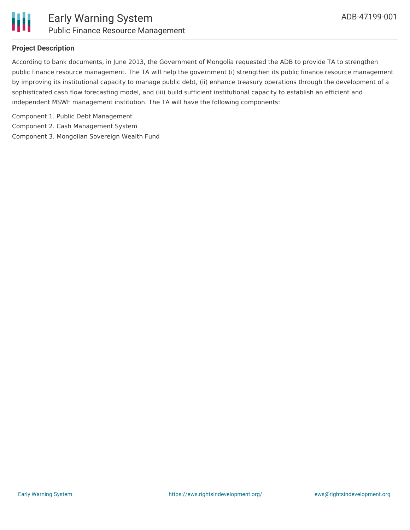

#### **Project Description**

According to bank documents, in June 2013, the Government of Mongolia requested the ADB to provide TA to strengthen public finance resource management. The TA will help the government (i) strengthen its public finance resource management by improving its institutional capacity to manage public debt, (ii) enhance treasury operations through the development of a sophisticated cash flow forecasting model, and (iii) build sufficient institutional capacity to establish an efficient and independent MSWF management institution. The TA will have the following components:

Component 1. Public Debt Management Component 2. Cash Management System Component 3. Mongolian Sovereign Wealth Fund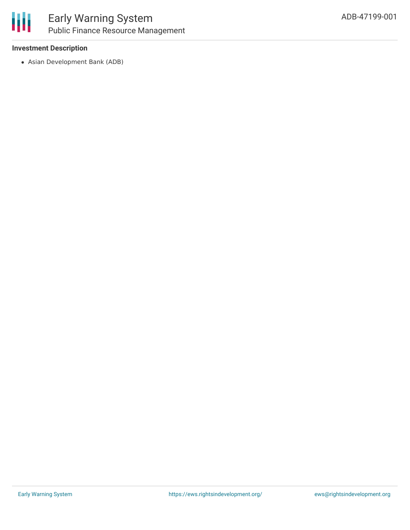#### **Investment Description**

Asian Development Bank (ADB)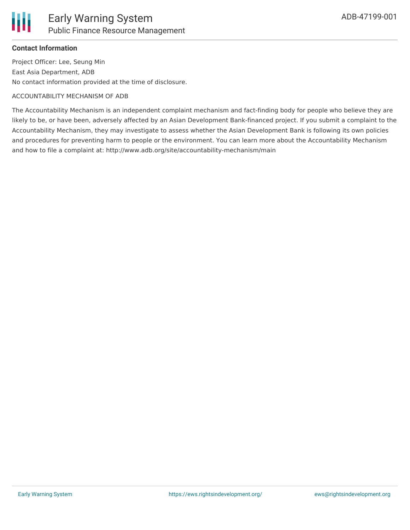#### **Contact Information**

Project Officer: Lee, Seung Min East Asia Department, ADB No contact information provided at the time of disclosure.

#### ACCOUNTABILITY MECHANISM OF ADB

The Accountability Mechanism is an independent complaint mechanism and fact-finding body for people who believe they are likely to be, or have been, adversely affected by an Asian Development Bank-financed project. If you submit a complaint to the Accountability Mechanism, they may investigate to assess whether the Asian Development Bank is following its own policies and procedures for preventing harm to people or the environment. You can learn more about the Accountability Mechanism and how to file a complaint at: http://www.adb.org/site/accountability-mechanism/main